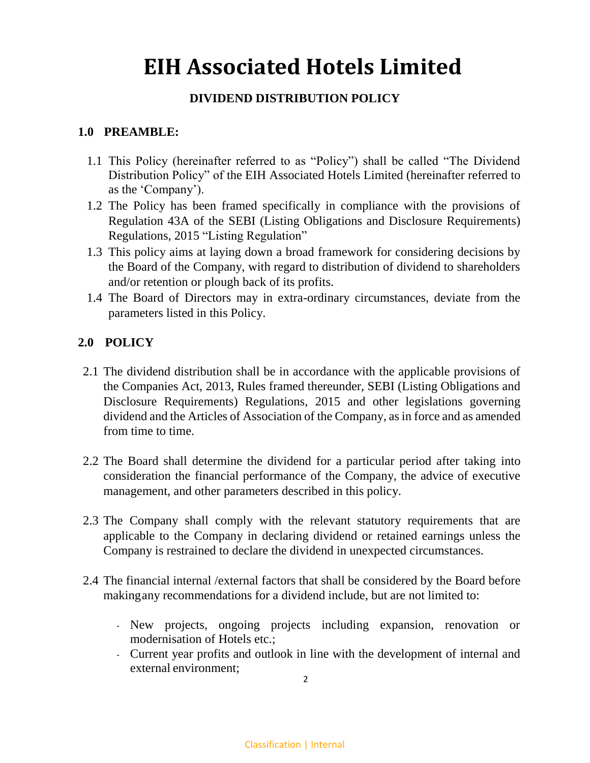# **EIH Associated Hotels Limited**

## **DIVIDEND DISTRIBUTION POLICY**

### **1.0 PREAMBLE:**

- 1.1 This Policy (hereinafter referred to as "Policy") shall be called "The Dividend Distribution Policy" of the EIH Associated Hotels Limited (hereinafter referred to as the 'Company').
- 1.2 The Policy has been framed specifically in compliance with the provisions of Regulation 43A of the SEBI (Listing Obligations and Disclosure Requirements) Regulations, 2015 "Listing Regulation"
- 1.3 This policy aims at laying down a broad framework for considering decisions by the Board of the Company, with regard to distribution of dividend to shareholders and/or retention or plough back of its profits.
- 1.4 The Board of Directors may in extra-ordinary circumstances, deviate from the parameters listed in this Policy.

### **2.0 POLICY**

- 2.1 The dividend distribution shall be in accordance with the applicable provisions of the Companies Act, 2013, Rules framed thereunder, SEBI (Listing Obligations and Disclosure Requirements) Regulations, 2015 and other legislations governing dividend and the Articles of Association of the Company, as in force and as amended from time to time.
- 2.2 The Board shall determine the dividend for a particular period after taking into consideration the financial performance of the Company, the advice of executive management, and other parameters described in this policy.
- 2.3 The Company shall comply with the relevant statutory requirements that are applicable to the Company in declaring dividend or retained earnings unless the Company is restrained to declare the dividend in unexpected circumstances.
- 2.4 The financial internal /external factors that shall be considered by the Board before makingany recommendations for a dividend include, but are not limited to:
	- New projects, ongoing projects including expansion, renovation or modernisation of Hotels etc.;
	- Current year profits and outlook in line with the development of internal and external environment;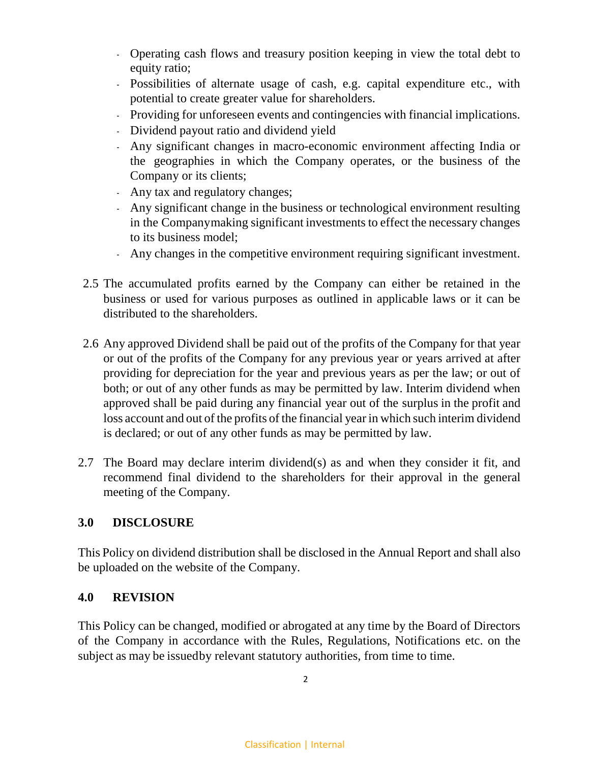- Operating cash flows and treasury position keeping in view the total debt to equity ratio;
- Possibilities of alternate usage of cash, e.g. capital expenditure etc., with potential to create greater value for shareholders.
- Providing for unforeseen events and contingencies with financial implications.
- Dividend payout ratio and dividend yield
- Any significant changes in macro-economic environment affecting India or the geographies in which the Company operates, or the business of the Company or its clients;
- Any tax and regulatory changes;
- Any significant change in the business or technological environment resulting in the Companymaking significant investments to effect the necessary changes to its business model;
- Any changes in the competitive environment requiring significant investment.
- 2.5 The accumulated profits earned by the Company can either be retained in the business or used for various purposes as outlined in applicable laws or it can be distributed to the shareholders.
- 2.6 Any approved Dividend shall be paid out of the profits of the Company for that year or out of the profits of the Company for any previous year or years arrived at after providing for depreciation for the year and previous years as per the law; or out of both; or out of any other funds as may be permitted by law. Interim dividend when approved shall be paid during any financial year out of the surplus in the profit and loss account and out of the profits of the financial year in which such interim dividend is declared; or out of any other funds as may be permitted by law.
- 2.7 The Board may declare interim dividend(s) as and when they consider it fit, and recommend final dividend to the shareholders for their approval in the general meeting of the Company.

## **3.0 DISCLOSURE**

This Policy on dividend distribution shall be disclosed in the Annual Report and shall also be uploaded on the website of the Company.

#### **4.0 REVISION**

This Policy can be changed, modified or abrogated at any time by the Board of Directors of the Company in accordance with the Rules, Regulations, Notifications etc. on the subject as may be issuedby relevant statutory authorities, from time to time.